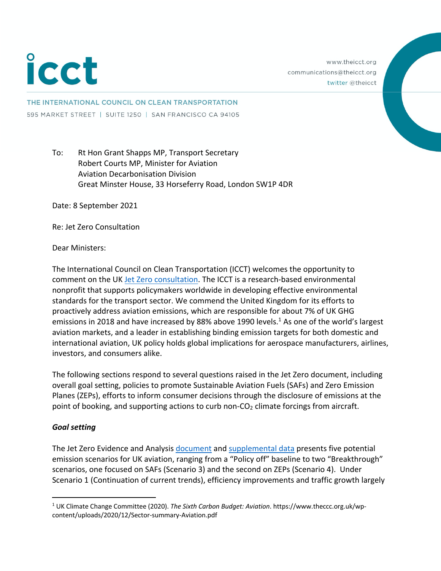# icct

www.theicct.org communications@theicct.org twitter @theicct

THE INTERNATIONAL COUNCIL ON CLEAN TRANSPORTATION 595 MARKET STREET | SUITE 1250 | SAN FRANCISCO CA 94105

# To: Rt Hon Grant Shapps MP, Transport Secretary Robert Courts MP, Minister for Aviation Aviation Decarbonisation Division Great Minster House, 33 Horseferry Road, London SW1P 4DR

Date: 8 September 2021

Re: Jet Zero Consultation

Dear Ministers:

The International Council on Clean Transportation (ICCT) welcomes the opportunity to comment on the UK Jet Zero consultation. The ICCT is a research-based environmental nonprofit that supports policymakers worldwide in developing effective environmental standards for the transport sector. We commend the United Kingdom for its efforts to proactively address aviation emissions, which are responsible for about 7% of UK GHG emissions in 2018 and have increased by 88% above 1990 levels. <sup>1</sup> As one of the world's largest aviation markets, and a leader in establishing binding emission targets for both domestic and international aviation, UK policy holds global implications for aerospace manufacturers, airlines, investors, and consumers alike.

The following sections respond to several questions raised in the Jet Zero document, including overall goal setting, policies to promote Sustainable Aviation Fuels (SAFs) and Zero Emission Planes (ZEPs), efforts to inform consumer decisions through the disclosure of emissions at the point of booking, and supporting actions to curb non- $CO<sub>2</sub>$  climate forcings from aircraft.

### *Goal setting*

The Jet Zero Evidence and Analysis document and supplemental data presents five potential emission scenarios for UK aviation, ranging from a "Policy off" baseline to two "Breakthrough" scenarios, one focused on SAFs (Scenario 3) and the second on ZEPs (Scenario 4). Under Scenario 1 (Continuation of current trends), efficiency improvements and traffic growth largely

<sup>1</sup> UK Climate Change Committee (2020). *The Sixth Carbon Budget: Aviation*. https://www.theccc.org.uk/wpcontent/uploads/2020/12/Sector-summary-Aviation.pdf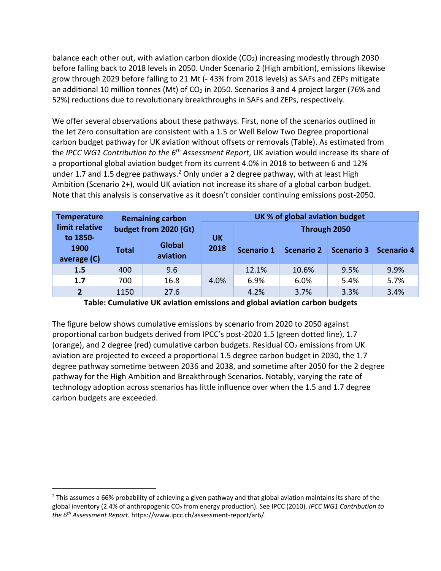balance each other out, with aviation carbon dioxide ( $CO<sub>2</sub>$ ) increasing modestly through 2030 before falling back to 2018 levels in 2050. Under Scenario 2 (High ambition), emissions likewise grow through 2029 before falling to 21 Mt (- 43% from 2018 levels) as SAFs and ZEPs mitigate an additional 10 million tonnes (Mt) of  $CO<sub>2</sub>$  in 2050. Scenarios 3 and 4 project larger (76% and 52%) reductions due to revolutionary breakthroughs in SAFs and ZEPs, respectively.

We offer several observations about these pathways. First, none of the scenarios outlined in the Jet Zero consultation are consistent with a 1.5 or Well Below Two Degree proportional carbon budget pathway for UK aviation without offsets or removals (Table). As estimated from the *IPCC WG1 Contribution to the 6th Assessment Report*, UK aviation would increase its share of a proportional global aviation budget from its current 4.0% in 2018 to between 6 and 12% under 1.7 and 1.5 degree pathways.<sup>2</sup> Only under a 2 degree pathway, with at least High Ambition (Scenario 2+), would UK aviation not increase its share of a global carbon budget. Note that this analysis is conservative as it doesn't consider continuing emissions post-2050.

| <b>Temperature</b><br>limit relative<br>to 1850-<br>1900<br>average (C) | <b>Remaining carbon</b><br>budget from 2020 (Gt) |                           | UK % of global aviation budget |              |                   |                   |                   |
|-------------------------------------------------------------------------|--------------------------------------------------|---------------------------|--------------------------------|--------------|-------------------|-------------------|-------------------|
|                                                                         |                                                  |                           |                                | Through 2050 |                   |                   |                   |
|                                                                         | Total                                            | <b>Global</b><br>aviation | UΚ<br>2018                     | Scenario 1   | <b>Scenario 2</b> | <b>Scenario 3</b> | <b>Scenario 4</b> |
| 1.5                                                                     | 400                                              | 9.6                       | 4.0%                           | 12.1%        | 10.6%             | 9.5%              | 9.9%              |
| 1.7                                                                     | 700                                              | 16.8                      |                                | 6.9%         | 6.0%              | 5.4%              | 5.7%              |
| $\overline{\mathbf{z}}$                                                 | 1150                                             | 27.6                      |                                | 4.2%         | 3.7%              | 3.3%              | 3.4%              |

**Table: Cumulative UK aviation emissions and global aviation carbon budgets**

The figure below shows cumulative emissions by scenario from 2020 to 2050 against proportional carbon budgets derived from IPCC's post-2020 1.5 (green dotted line), 1.7 (orange), and 2 degree (red) cumulative carbon budgets. Residual  $CO<sub>2</sub>$  emissions from UK aviation are projected to exceed a proportional 1.5 degree carbon budget in 2030, the 1.7 degree pathway sometime between 2036 and 2038, and sometime after 2050 for the 2 degree pathway for the High Ambition and Breakthrough Scenarios. Notably, varying the rate of technology adoption across scenarios has little influence over when the 1.5 and 1.7 degree carbon budgets are exceeded.

<sup>&</sup>lt;sup>2</sup> This assumes a 66% probability of achieving a given pathway and that global aviation maintains its share of the global inventory (2.4% of anthropogenic CO2 from energy production). See IPCC (2010). *IPCC WG1 Contribution to the 6th Assessment Report.* https://www.ipcc.ch/assessment-report/ar6/.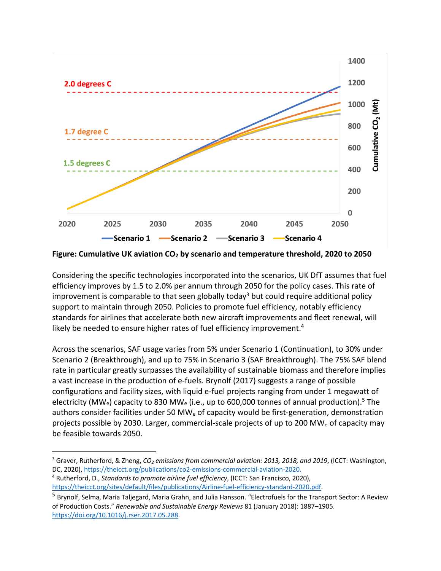

**Figure: Cumulative UK aviation CO2 by scenario and temperature threshold, 2020 to 2050**

Considering the specific technologies incorporated into the scenarios, UK DfT assumes that fuel efficiency improves by 1.5 to 2.0% per annum through 2050 for the policy cases. This rate of improvement is comparable to that seen globally today<sup>3</sup> but could require additional policy support to maintain through 2050. Policies to promote fuel efficiency, notably efficiency standards for airlines that accelerate both new aircraft improvements and fleet renewal, will likely be needed to ensure higher rates of fuel efficiency improvement.<sup>4</sup>

Across the scenarios, SAF usage varies from 5% under Scenario 1 (Continuation), to 30% under Scenario 2 (Breakthrough), and up to 75% in Scenario 3 (SAF Breakthrough). The 75% SAF blend rate in particular greatly surpasses the availability of sustainable biomass and therefore implies a vast increase in the production of e-fuels. Brynolf (2017) suggests a range of possible configurations and facility sizes, with liquid e-fuel projects ranging from under 1 megawatt of electricity (MW<sub>e</sub>) capacity to 830 MW<sub>e</sub> (i.e., up to 600,000 tonnes of annual production).<sup>5</sup> The authors consider facilities under 50 MW<sub>e</sub> of capacity would be first-generation, demonstration projects possible by 2030. Larger, commercial-scale projects of up to 200 MWe of capacity may be feasible towards 2050.

<sup>3</sup> Graver, Rutherford, & Zheng, *CO2 emissions from commercial aviation: 2013, 2018, and 2019*, (ICCT: Washington, DC, 2020), https://theicct.org/publications/co2-emissions-commercial-aviation-2020.

<sup>4</sup> Rutherford, D., *Standards to promote airline fuel efficiency*, (ICCT: San Francisco, 2020), https://theicct.org/sites/default/files/publications/Airline-fuel-efficiency-standard-2020.pdf.

<sup>5</sup> Brynolf, Selma, Maria Taljegard, Maria Grahn, and Julia Hansson. "Electrofuels for the Transport Sector: A Review of Production Costs." *Renewable and Sustainable Energy Reviews* 81 (January 2018): 1887–1905. https://doi.org/10.1016/j.rser.2017.05.288.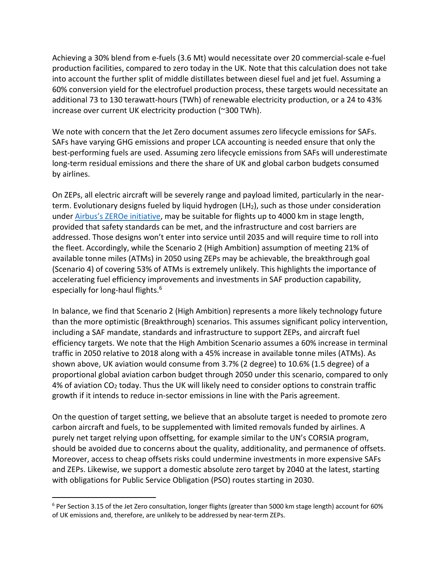Achieving a 30% blend from e-fuels (3.6 Mt) would necessitate over 20 commercial-scale e-fuel production facilities, compared to zero today in the UK. Note that this calculation does not take into account the further split of middle distillates between diesel fuel and jet fuel. Assuming a 60% conversion yield for the electrofuel production process, these targets would necessitate an additional 73 to 130 terawatt-hours (TWh) of renewable electricity production, or a 24 to 43% increase over current UK electricity production (~300 TWh).

We note with concern that the Jet Zero document assumes zero lifecycle emissions for SAFs. SAFs have varying GHG emissions and proper LCA accounting is needed ensure that only the best-performing fuels are used. Assuming zero lifecycle emissions from SAFs will underestimate long-term residual emissions and there the share of UK and global carbon budgets consumed by airlines.

On ZEPs, all electric aircraft will be severely range and payload limited, particularly in the nearterm. Evolutionary designs fueled by liquid hydrogen (LH<sub>2</sub>), such as those under consideration under Airbus's ZEROe initiative, may be suitable for flights up to 4000 km in stage length, provided that safety standards can be met, and the infrastructure and cost barriers are addressed. Those designs won't enter into service until 2035 and will require time to roll into the fleet. Accordingly, while the Scenario 2 (High Ambition) assumption of meeting 21% of available tonne miles (ATMs) in 2050 using ZEPs may be achievable, the breakthrough goal (Scenario 4) of covering 53% of ATMs is extremely unlikely. This highlights the importance of accelerating fuel efficiency improvements and investments in SAF production capability, especially for long-haul flights. 6

In balance, we find that Scenario 2 (High Ambition) represents a more likely technology future than the more optimistic (Breakthrough) scenarios. This assumes significant policy intervention, including a SAF mandate, standards and infrastructure to support ZEPs, and aircraft fuel efficiency targets. We note that the High Ambition Scenario assumes a 60% increase in terminal traffic in 2050 relative to 2018 along with a 45% increase in available tonne miles (ATMs). As shown above, UK aviation would consume from 3.7% (2 degree) to 10.6% (1.5 degree) of a proportional global aviation carbon budget through 2050 under this scenario, compared to only 4% of aviation CO2 today. Thus the UK will likely need to consider options to constrain traffic growth if it intends to reduce in-sector emissions in line with the Paris agreement.

On the question of target setting, we believe that an absolute target is needed to promote zero carbon aircraft and fuels, to be supplemented with limited removals funded by airlines. A purely net target relying upon offsetting, for example similar to the UN's CORSIA program, should be avoided due to concerns about the quality, additionality, and permanence of offsets. Moreover, access to cheap offsets risks could undermine investments in more expensive SAFs and ZEPs. Likewise, we support a domestic absolute zero target by 2040 at the latest, starting with obligations for Public Service Obligation (PSO) routes starting in 2030.

<sup>&</sup>lt;sup>6</sup> Per Section 3.15 of the Jet Zero consultation, longer flights (greater than 5000 km stage length) account for 60% of UK emissions and, therefore, are unlikely to be addressed by near-term ZEPs.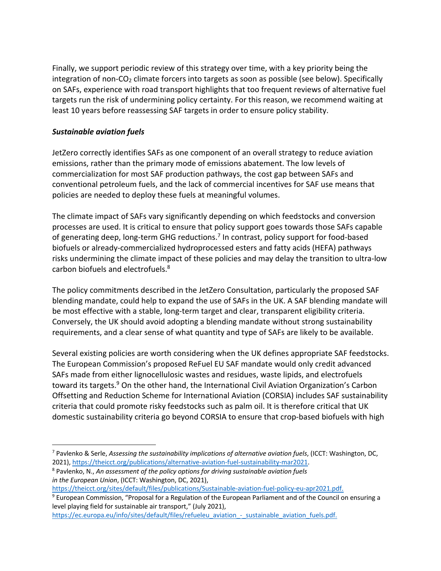Finally, we support periodic review of this strategy over time, with a key priority being the integration of non-CO<sub>2</sub> climate forcers into targets as soon as possible (see below). Specifically on SAFs, experience with road transport highlights that too frequent reviews of alternative fuel targets run the risk of undermining policy certainty. For this reason, we recommend waiting at least 10 years before reassessing SAF targets in order to ensure policy stability.

# *Sustainable aviation fuels*

JetZero correctly identifies SAFs as one component of an overall strategy to reduce aviation emissions, rather than the primary mode of emissions abatement. The low levels of commercialization for most SAF production pathways, the cost gap between SAFs and conventional petroleum fuels, and the lack of commercial incentives for SAF use means that policies are needed to deploy these fuels at meaningful volumes.

The climate impact of SAFs vary significantly depending on which feedstocks and conversion processes are used. It is critical to ensure that policy support goes towards those SAFs capable of generating deep, long-term GHG reductions.<sup>7</sup> In contrast, policy support for food-based biofuels or already-commercialized hydroprocessed esters and fatty acids (HEFA) pathways risks undermining the climate impact of these policies and may delay the transition to ultra-low carbon biofuels and electrofuels.8

The policy commitments described in the JetZero Consultation, particularly the proposed SAF blending mandate, could help to expand the use of SAFs in the UK. A SAF blending mandate will be most effective with a stable, long-term target and clear, transparent eligibility criteria. Conversely, the UK should avoid adopting a blending mandate without strong sustainability requirements, and a clear sense of what quantity and type of SAFs are likely to be available.

Several existing policies are worth considering when the UK defines appropriate SAF feedstocks. The European Commission's proposed ReFuel EU SAF mandate would only credit advanced SAFs made from either lignocellulosic wastes and residues, waste lipids, and electrofuels toward its targets.<sup>9</sup> On the other hand, the International Civil Aviation Organization's Carbon Offsetting and Reduction Scheme for International Aviation (CORSIA) includes SAF sustainability criteria that could promote risky feedstocks such as palm oil. It is therefore critical that UK domestic sustainability criteria go beyond CORSIA to ensure that crop-based biofuels with high

<sup>7</sup> Pavlenko & Serle, *Assessing the sustainability implications of alternative aviation fuels*, (ICCT: Washington, DC, 2021), https://theicct.org/publications/alternative-aviation-fuel-sustainability-mar2021.

<sup>8</sup> Pavlenko, N., *An assessment of the policy options for driving sustainable aviation fuels in the European Union*, (ICCT: Washington, DC, 2021),

https://theicct.org/sites/default/files/publications/Sustainable-aviation-fuel-policy-eu-apr2021.pdf.

<sup>9</sup> European Commission, "Proposal for a Regulation of the European Parliament and of the Council on ensuring a level playing field for sustainable air transport," (July 2021),

https://ec.europa.eu/info/sites/default/files/refueleu\_aviation\_-\_sustainable\_aviation\_fuels.pdf.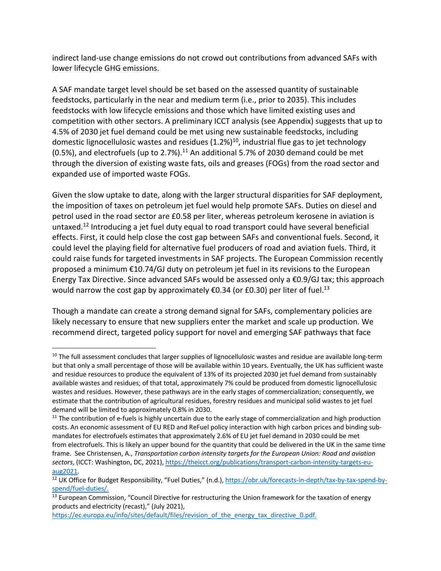indirect land-use change emissions do not crowd out contributions from advanced SAFs with lower lifecycle GHG emissions.

A SAF mandate target level should be set based on the assessed quantity of sustainable feedstocks, particularly in the near and medium term (i.e., prior to 2035). This includes feedstocks with low lifecycle emissions and those which have limited existing uses and competition with other sectors. A preliminary ICCT analysis (see Appendix) suggests that up to 4.5% of 2030 jet fuel demand could be met using new sustainable feedstocks, including domestic lignocellulosic wastes and residues  $(1.2\%)^{10}$ , industrial flue gas to jet technology  $(0.5%)$ , and electrofuels (up to 2.7%).<sup>11</sup> An additional 5.7% of 2030 demand could be met through the diversion of existing waste fats, oils and greases (FOGs) from the road sector and expanded use of imported waste FOGs.

Given the slow uptake to date, along with the larger structural disparities for SAF deployment, the imposition of taxes on petroleum jet fuel would help promote SAFs. Duties on diesel and petrol used in the road sector are £0.58 per liter, whereas petroleum kerosene in aviation is untaxed.<sup>12</sup> Introducing a jet fuel duty equal to road transport could have several beneficial effects. First, it could help close the cost gap between SAFs and conventional fuels. Second, it could level the playing field for alternative fuel producers of road and aviation fuels. Third, it could raise funds for targeted investments in SAF projects. The European Commission recently proposed a minimum €10.74/GJ duty on petroleum jet fuel in its revisions to the European Energy Tax Directive. Since advanced SAFs would be assessed only a €0.9/GJ tax; this approach would narrow the cost gap by approximately  $\epsilon$ 0.34 (or £0.30) per liter of fuel.<sup>13</sup>

Though a mandate can create a strong demand signal for SAFs, complementary policies are likely necessary to ensure that new suppliers enter the market and scale up production. We recommend direct, targeted policy support for novel and emerging SAF pathways that face

https://ec.europa.eu/info/sites/default/files/revision of the energy tax directive 0.pdf.

<sup>&</sup>lt;sup>10</sup> The full assessment concludes that larger supplies of lignocellulosic wastes and residue are available long-term but that only a small percentage of those will be available within 10 years. Eventually, the UK has sufficient waste and residue resources to produce the equivalent of 13% of its projected 2030 jet fuel demand from sustainably available wastes and residues; of that total, approximately 7% could be produced from domestic lignocellulosic wastes and residues. However, these pathways are in the early stages of commercialization; consequently, we estimate that the contribution of agricultural residues, forestry residues and municipal solid wastes to jet fuel demand will be limited to approximately 0.8% in 2030.

 $11$  The contribution of e-fuels is highly uncertain due to the early stage of commercialization and high production costs. An economic assessment of EU RED and ReFuel policy interaction with high carbon prices and binding submandates for electrofuels estimates that approximately 2.6% of EU jet fuel demand in 2030 could be met from electrofuels. This is likely an upper bound for the quantity that could be delivered in the UK in the same time frame. See Christensen, A., *Transportation carbon intensity targets for the European Union: Road and aviation sectors*, (ICCT: Washington, DC, 2021), https://theicct.org/publications/transport-carbon-intensity-targets-euaug2021.

<sup>&</sup>lt;sup>12</sup> UK Office for Budget Responsibility, "Fuel Duties," (n.d.), https://obr.uk/forecasts-in-depth/tax-by-tax-spend-byspend/fuel-duties/.

<sup>&</sup>lt;sup>13</sup> European Commission, "Council Directive for restructuring the Union framework for the taxation of energy products and electricity (recast)," (July 2021),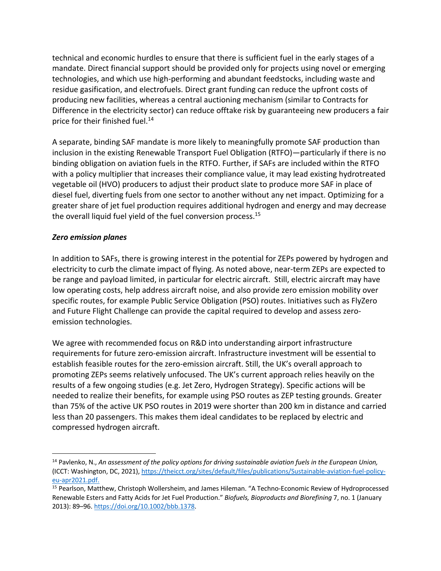technical and economic hurdles to ensure that there is sufficient fuel in the early stages of a mandate. Direct financial support should be provided only for projects using novel or emerging technologies, and which use high-performing and abundant feedstocks, including waste and residue gasification, and electrofuels. Direct grant funding can reduce the upfront costs of producing new facilities, whereas a central auctioning mechanism (similar to Contracts for Difference in the electricity sector) can reduce offtake risk by guaranteeing new producers a fair price for their finished fuel.<sup>14</sup>

A separate, binding SAF mandate is more likely to meaningfully promote SAF production than inclusion in the existing Renewable Transport Fuel Obligation (RTFO)—particularly if there is no binding obligation on aviation fuels in the RTFO. Further, if SAFs are included within the RTFO with a policy multiplier that increases their compliance value, it may lead existing hydrotreated vegetable oil (HVO) producers to adjust their product slate to produce more SAF in place of diesel fuel, diverting fuels from one sector to another without any net impact. Optimizing for a greater share of jet fuel production requires additional hydrogen and energy and may decrease the overall liquid fuel yield of the fuel conversion process.<sup>15</sup>

# *Zero emission planes*

In addition to SAFs, there is growing interest in the potential for ZEPs powered by hydrogen and electricity to curb the climate impact of flying. As noted above, near-term ZEPs are expected to be range and payload limited, in particular for electric aircraft. Still, electric aircraft may have low operating costs, help address aircraft noise, and also provide zero emission mobility over specific routes, for example Public Service Obligation (PSO) routes. Initiatives such as FlyZero and Future Flight Challenge can provide the capital required to develop and assess zeroemission technologies.

We agree with recommended focus on R&D into understanding airport infrastructure requirements for future zero-emission aircraft. Infrastructure investment will be essential to establish feasible routes for the zero-emission aircraft. Still, the UK's overall approach to promoting ZEPs seems relatively unfocused. The UK's current approach relies heavily on the results of a few ongoing studies (e.g. Jet Zero, Hydrogen Strategy). Specific actions will be needed to realize their benefits, for example using PSO routes as ZEP testing grounds. Greater than 75% of the active UK PSO routes in 2019 were shorter than 200 km in distance and carried less than 20 passengers. This makes them ideal candidates to be replaced by electric and compressed hydrogen aircraft.

<sup>14</sup> Pavlenko, N., *An assessment of the policy options for driving sustainable aviation fuels in the European Union,*  (ICCT: Washington, DC, 2021), https://theicct.org/sites/default/files/publications/Sustainable-aviation-fuel-policyeu-apr2021.pdf.

<sup>15</sup> Pearlson, Matthew, Christoph Wollersheim, and James Hileman. "A Techno-Economic Review of Hydroprocessed Renewable Esters and Fatty Acids for Jet Fuel Production." *Biofuels, Bioproducts and Biorefining* 7, no. 1 (January 2013): 89–96. https://doi.org/10.1002/bbb.1378.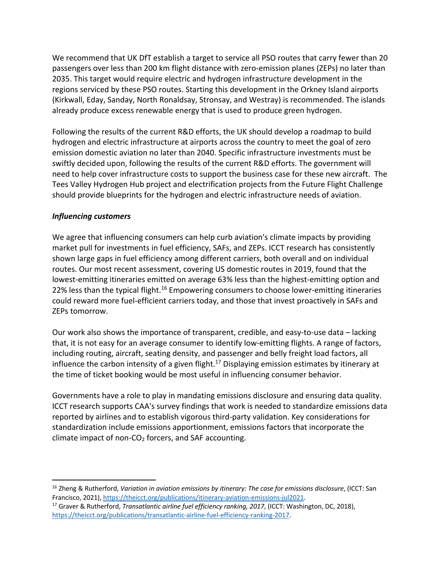We recommend that UK DfT establish a target to service all PSO routes that carry fewer than 20 passengers over less than 200 km flight distance with zero-emission planes (ZEPs) no later than 2035. This target would require electric and hydrogen infrastructure development in the regions serviced by these PSO routes. Starting this development in the Orkney Island airports (Kirkwall, Eday, Sanday, North Ronaldsay, Stronsay, and Westray) is recommended. The islands already produce excess renewable energy that is used to produce green hydrogen.

Following the results of the current R&D efforts, the UK should develop a roadmap to build hydrogen and electric infrastructure at airports across the country to meet the goal of zero emission domestic aviation no later than 2040. Specific infrastructure investments must be swiftly decided upon, following the results of the current R&D efforts. The government will need to help cover infrastructure costs to support the business case for these new aircraft. The Tees Valley Hydrogen Hub project and electrification projects from the Future Flight Challenge should provide blueprints for the hydrogen and electric infrastructure needs of aviation.

## *Influencing customers*

We agree that influencing consumers can help curb aviation's climate impacts by providing market pull for investments in fuel efficiency, SAFs, and ZEPs. ICCT research has consistently shown large gaps in fuel efficiency among different carriers, both overall and on individual routes. Our most recent assessment, covering US domestic routes in 2019, found that the lowest-emitting itineraries emitted on average 63% less than the highest-emitting option and 22% less than the typical flight.<sup>16</sup> Empowering consumers to choose lower-emitting itineraries could reward more fuel-efficient carriers today, and those that invest proactively in SAFs and ZEPs tomorrow.

Our work also shows the importance of transparent, credible, and easy-to-use data – lacking that, it is not easy for an average consumer to identify low-emitting flights. A range of factors, including routing, aircraft, seating density, and passenger and belly freight load factors, all influence the carbon intensity of a given flight.<sup>17</sup> Displaying emission estimates by itinerary at the time of ticket booking would be most useful in influencing consumer behavior.

Governments have a role to play in mandating emissions disclosure and ensuring data quality. ICCT research supports CAA's survey findings that work is needed to standardize emissions data reported by airlines and to establish vigorous third-party validation. Key considerations for standardization include emissions apportionment, emissions factors that incorporate the climate impact of non- $CO<sub>2</sub>$  forcers, and SAF accounting.

<sup>&</sup>lt;sup>16</sup> Zheng & Rutherford, *Variation in aviation emissions by itinerary: The case for emissions disclosure*, (ICCT: San Francisco, 2021), https://theicct.org/publications/itinerary-aviation-emissions-jul2021.

<sup>&</sup>lt;sup>17</sup> Graver & Rutherford, *Transatlantic airline fuel efficiency ranking, 2017*, (ICCT: Washington, DC, 2018), https://theicct.org/publications/transatlantic-airline-fuel-efficiency-ranking-2017.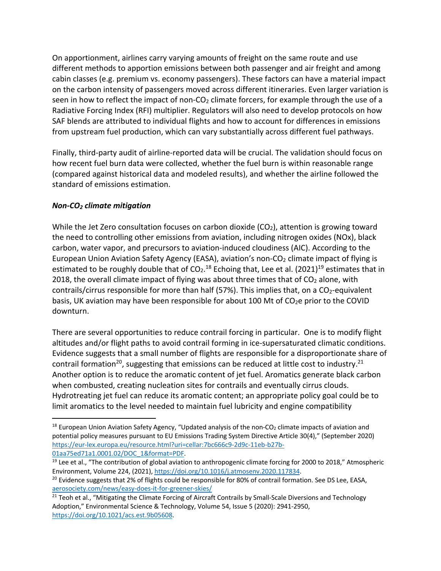On apportionment, airlines carry varying amounts of freight on the same route and use different methods to apportion emissions between both passenger and air freight and among cabin classes (e.g. premium vs. economy passengers). These factors can have a material impact on the carbon intensity of passengers moved across different itineraries. Even larger variation is seen in how to reflect the impact of non- $CO<sub>2</sub>$  climate forcers, for example through the use of a Radiative Forcing Index (RFI) multiplier. Regulators will also need to develop protocols on how SAF blends are attributed to individual flights and how to account for differences in emissions from upstream fuel production, which can vary substantially across different fuel pathways.

Finally, third-party audit of airline-reported data will be crucial. The validation should focus on how recent fuel burn data were collected, whether the fuel burn is within reasonable range (compared against historical data and modeled results), and whether the airline followed the standard of emissions estimation.

# *Non-CO2 climate mitigation*

While the Jet Zero consultation focuses on carbon dioxide  $(CO<sub>2</sub>)$ , attention is growing toward the need to controlling other emissions from aviation, including nitrogen oxides (NOx), black carbon, water vapor, and precursors to aviation-induced cloudiness (AIC). According to the European Union Aviation Safety Agency (EASA), aviation's non-CO<sub>2</sub> climate impact of flying is estimated to be roughly double that of  $CO<sub>2</sub>$ .<sup>18</sup> Echoing that, Lee et al. (2021)<sup>19</sup> estimates that in 2018, the overall climate impact of flying was about three times that of  $CO<sub>2</sub>$  alone, with contrails/cirrus responsible for more than half (57%). This implies that, on a  $CO<sub>2</sub>$ -equivalent basis, UK aviation may have been responsible for about 100 Mt of CO<sub>2</sub>e prior to the COVID downturn.

There are several opportunities to reduce contrail forcing in particular. One is to modify flight altitudes and/or flight paths to avoid contrail forming in ice-supersaturated climatic conditions. Evidence suggests that a small number of flights are responsible for a disproportionate share of contrail formation<sup>20</sup>, suggesting that emissions can be reduced at little cost to industry.<sup>21</sup> Another option is to reduce the aromatic content of jet fuel. Aromatics generate black carbon when combusted, creating nucleation sites for contrails and eventually cirrus clouds. Hydrotreating jet fuel can reduce its aromatic content; an appropriate policy goal could be to limit aromatics to the level needed to maintain fuel lubricity and engine compatibility

 $18$  European Union Aviation Safety Agency, "Updated analysis of the non-CO<sub>2</sub> climate impacts of aviation and potential policy measures pursuant to EU Emissions Trading System Directive Article 30(4)," (September 2020) https://eur-lex.europa.eu/resource.html?uri=cellar:7bc666c9-2d9c-11eb-b27b-

<sup>01</sup>aa75ed71a1.0001.02/DOC\_1&format=PDF.<br><sup>19</sup> Lee et al., "The contribution of global aviation to anthropogenic climate forcing for 2000 to 2018," Atmospheric Environment, Volume 224, (2021), https://doi.org/10.1016/j.atmosenv.2020.117834.<br><sup>20</sup> Evidence suggests that 2% of flights could be responsible for 80% of contrail formation. See DS Lee, EASA,

aerosociety.com/news/easy-does-it-for-greener-skies/

<sup>&</sup>lt;sup>21</sup> Teoh et al., "Mitigating the Climate Forcing of Aircraft Contrails by Small-Scale Diversions and Technology Adoption," Environmental Science & Technology, Volume 54, Issue 5 (2020): 2941-2950, https://doi.org/10.1021/acs.est.9b05608.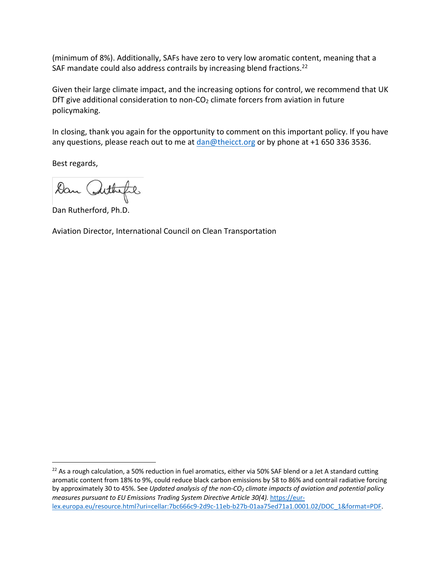(minimum of 8%). Additionally, SAFs have zero to very low aromatic content, meaning that a SAF mandate could also address contrails by increasing blend fractions.<sup>22</sup>

Given their large climate impact, and the increasing options for control, we recommend that UK DfT give additional consideration to non- $CO<sub>2</sub>$  climate forcers from aviation in future policymaking.

In closing, thank you again for the opportunity to comment on this important policy. If you have any questions, please reach out to me at dan@theicct.org or by phone at +1 650 336 3536.

Best regards,

Dan Arthefil

Dan Rutherford, Ph.D.

Aviation Director, International Council on Clean Transportation

 $22$  As a rough calculation, a 50% reduction in fuel aromatics, either via 50% SAF blend or a Jet A standard cutting aromatic content from 18% to 9%, could reduce black carbon emissions by 58 to 86% and contrail radiative forcing by approximately 30 to 45%. See *Updated analysis of the non-CO2 climate impacts of aviation and potential policy measures pursuant to EU Emissions Trading System Directive Article 30(4).* https://eurlex.europa.eu/resource.html?uri=cellar:7bc666c9-2d9c-11eb-b27b-01aa75ed71a1.0001.02/DOC\_1&format=PDF.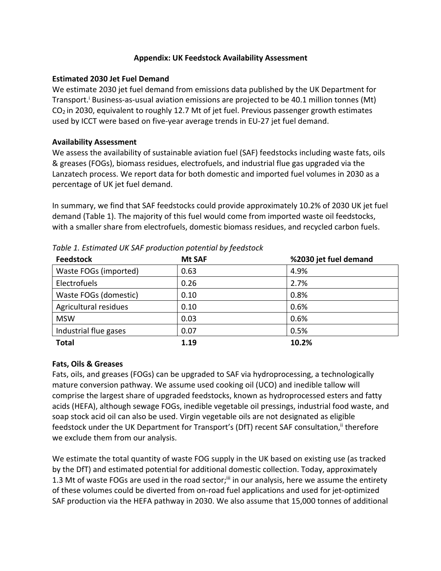## **Appendix: UK Feedstock Availability Assessment**

# **Estimated 2030 Jet Fuel Demand**

We estimate 2030 jet fuel demand from emissions data published by the UK Department for Transport.<sup>1</sup> Business-as-usual aviation emissions are projected to be 40.1 million tonnes (Mt) CO2 in 2030, equivalent to roughly 12.7 Mt of jet fuel. Previous passenger growth estimates used by ICCT were based on five-year average trends in EU-27 jet fuel demand.

## **Availability Assessment**

We assess the availability of sustainable aviation fuel (SAF) feedstocks including waste fats, oils & greases (FOGs), biomass residues, electrofuels, and industrial flue gas upgraded via the Lanzatech process. We report data for both domestic and imported fuel volumes in 2030 as a percentage of UK jet fuel demand.

In summary, we find that SAF feedstocks could provide approximately 10.2% of 2030 UK jet fuel demand (Table 1). The majority of this fuel would come from imported waste oil feedstocks, with a smaller share from electrofuels, domestic biomass residues, and recycled carbon fuels.

| <b>Feedstock</b>      | <b>Mt SAF</b> | %2030 jet fuel demand |
|-----------------------|---------------|-----------------------|
| Waste FOGs (imported) | 0.63          | 4.9%                  |
| Electrofuels          | 0.26          | 2.7%                  |
| Waste FOGs (domestic) | 0.10          | 0.8%                  |
| Agricultural residues | 0.10          | 0.6%                  |
| <b>MSW</b>            | 0.03          | 0.6%                  |
| Industrial flue gases | 0.07          | 0.5%                  |
| <b>Total</b>          | 1.19          | 10.2%                 |

*Table 1. Estimated UK SAF production potential by feedstock*

# **Fats, Oils & Greases**

Fats, oils, and greases (FOGs) can be upgraded to SAF via hydroprocessing, a technologically mature conversion pathway. We assume used cooking oil (UCO) and inedible tallow will comprise the largest share of upgraded feedstocks, known as hydroprocessed esters and fatty acids (HEFA), although sewage FOGs, inedible vegetable oil pressings, industrial food waste, and soap stock acid oil can also be used. Virgin vegetable oils are not designated as eligible feedstock under the UK Department for Transport's (DfT) recent SAF consultation,<sup>ii</sup> therefore we exclude them from our analysis.

We estimate the total quantity of waste FOG supply in the UK based on existing use (as tracked by the DfT) and estimated potential for additional domestic collection. Today, approximately 1.3 Mt of waste FOGs are used in the road sector;<sup>iii</sup> in our analysis, here we assume the entirety of these volumes could be diverted from on-road fuel applications and used for jet-optimized SAF production via the HEFA pathway in 2030. We also assume that 15,000 tonnes of additional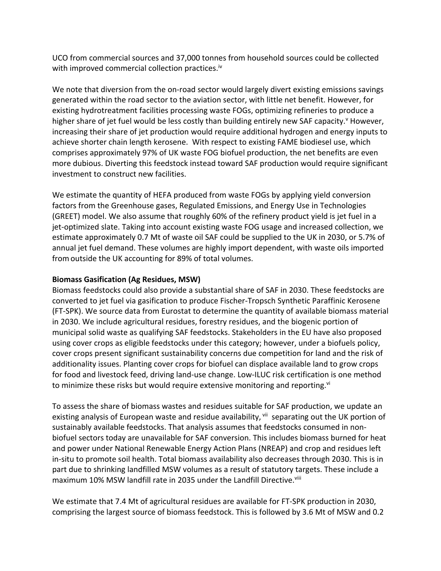UCO from commercial sources and 37,000 tonnes from household sources could be collected with improved commercial collection practices.<sup>iv</sup>

We note that diversion from the on-road sector would largely divert existing emissions savings generated within the road sector to the aviation sector, with little net benefit. However, for existing hydrotreatment facilities processing waste FOGs, optimizing refineries to produce a higher share of jet fuel would be less costly than building entirely new SAF capacity.<sup>v</sup> However, increasing their share of jet production would require additional hydrogen and energy inputs to achieve shorter chain length kerosene. With respect to existing FAME biodiesel use, which comprises approximately 97% of UK waste FOG biofuel production, the net benefits are even more dubious. Diverting this feedstock instead toward SAF production would require significant investment to construct new facilities.

We estimate the quantity of HEFA produced from waste FOGs by applying yield conversion factors from the Greenhouse gases, Regulated Emissions, and Energy Use in Technologies (GREET) model. We also assume that roughly 60% of the refinery product yield is jet fuel in a jet-optimized slate. Taking into account existing waste FOG usage and increased collection, we estimate approximately 0.7 Mt of waste oil SAF could be supplied to the UK in 2030, or 5.7% of annual jet fuel demand. These volumes are highly import dependent, with waste oils imported fromoutside the UK accounting for 89% of total volumes.

## **Biomass Gasification (Ag Residues, MSW)**

Biomass feedstocks could also provide a substantial share of SAF in 2030. These feedstocks are converted to jet fuel via gasification to produce Fischer-Tropsch Synthetic Paraffinic Kerosene (FT-SPK). We source data from Eurostat to determine the quantity of available biomass material in 2030. We include agricultural residues, forestry residues, and the biogenic portion of municipal solid waste as qualifying SAF feedstocks. Stakeholders in the EU have also proposed using cover crops as eligible feedstocks under this category; however, under a biofuels policy, cover crops present significant sustainability concerns due competition for land and the risk of additionality issues. Planting cover crops for biofuel can displace available land to grow crops for food and livestock feed, driving land-use change. Low-ILUC risk certification is one method to minimize these risks but would require extensive monitoring and reporting.<sup>vi</sup>

To assess the share of biomass wastes and residues suitable for SAF production, we update an existing analysis of European waste and residue availability, vij separating out the UK portion of sustainably available feedstocks. That analysis assumes that feedstocks consumed in nonbiofuel sectors today are unavailable for SAF conversion. This includes biomass burned for heat and power under National Renewable Energy Action Plans (NREAP) and crop and residues left in-situ to promote soil health. Total biomass availability also decreases through 2030. This is in part due to shrinking landfilled MSW volumes as a result of statutory targets. These include a maximum 10% MSW landfill rate in 2035 under the Landfill Directive.<sup>viii</sup>

We estimate that 7.4 Mt of agricultural residues are available for FT-SPK production in 2030, comprising the largest source of biomass feedstock. This is followed by 3.6 Mt of MSW and 0.2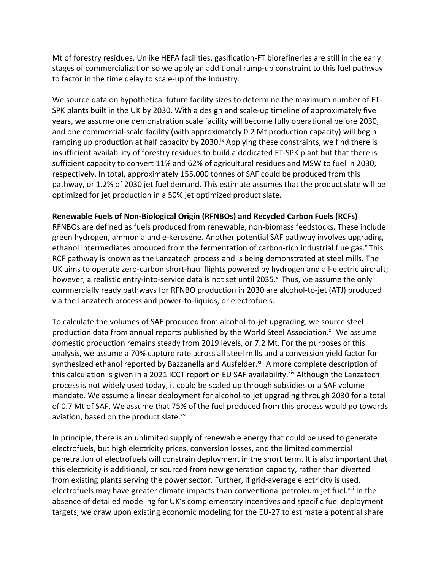Mt of forestry residues. Unlike HEFA facilities, gasification-FT biorefineries are still in the early stages of commercialization so we apply an additional ramp-up constraint to this fuel pathway to factor in the time delay to scale-up of the industry.

We source data on hypothetical future facility sizes to determine the maximum number of FT-SPK plants built in the UK by 2030. With a design and scale-up timeline of approximately five years, we assume one demonstration scale facility will become fully operational before 2030, and one commercial-scale facility (with approximately 0.2 Mt production capacity) will begin ramping up production at half capacity by 2030.<sup>ix</sup> Applying these constraints, we find there is insufficient availability of forestry residues to build a dedicated FT-SPK plant but that there is sufficient capacity to convert 11% and 62% of agricultural residues and MSW to fuel in 2030, respectively. In total, approximately 155,000 tonnes of SAF could be produced from this pathway, or 1.2% of 2030 jet fuel demand. This estimate assumes that the product slate will be optimized for jet production in a 50% jet optimized product slate.

### **Renewable Fuels of Non-Biological Origin (RFNBOs) and Recycled Carbon Fuels (RCFs)**

RFNBOs are defined as fuels produced from renewable, non-biomass feedstocks. These include green hydrogen, ammonia and e-kerosene. Another potential SAF pathway involves upgrading ethanol intermediates produced from the fermentation of carbon-rich industrial flue gas.<sup>x</sup> This RCF pathway is known as the Lanzatech process and is being demonstrated at steel mills. The UK aims to operate zero-carbon short-haul flights powered by hydrogen and all-electric aircraft; however, a realistic entry-into-service data is not set until 2035.<sup>xi</sup> Thus, we assume the only commercially ready pathways for RFNBO production in 2030 are alcohol-to-jet (ATJ) produced via the Lanzatech process and power-to-liquids, or electrofuels.

To calculate the volumes of SAF produced from alcohol-to-jet upgrading, we source steel production data from annual reports published by the World Steel Association.<sup>xii</sup> We assume domestic production remains steady from 2019 levels, or 7.2 Mt. For the purposes of this analysis, we assume a 70% capture rate across all steel mills and a conversion yield factor for synthesized ethanol reported by Bazzanella and Ausfelder.<sup>xiii</sup> A more complete description of this calculation is given in a 2021 ICCT report on EU SAF availability. Xiv Although the Lanzatech process is not widely used today, it could be scaled up through subsidies or a SAF volume mandate. We assume a linear deployment for alcohol-to-jet upgrading through 2030 for a total of 0.7 Mt of SAF. We assume that 75% of the fuel produced from this process would go towards aviation, based on the product slate.<sup>xv</sup>

In principle, there is an unlimited supply of renewable energy that could be used to generate electrofuels, but high electricity prices, conversion losses, and the limited commercial penetration of electrofuels will constrain deployment in the short term. It is also important that this electricity is additional, or sourced from new generation capacity, rather than diverted from existing plants serving the power sector. Further, if grid-average electricity is used, electrofuels may have greater climate impacts than conventional petroleum jet fuel.<sup>xvi</sup> In the absence of detailed modeling for UK's complementary incentives and specific fuel deployment targets, we draw upon existing economic modeling for the EU-27 to estimate a potential share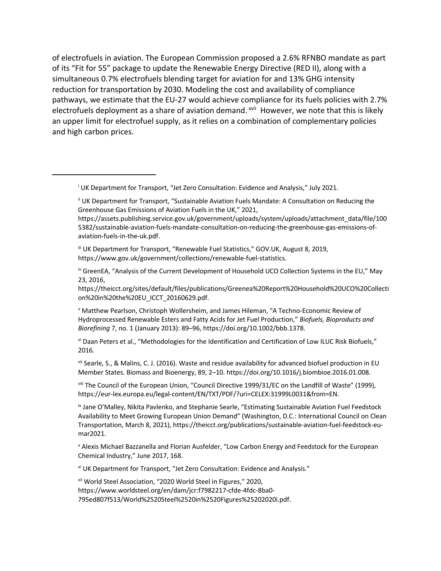of electrofuels in aviation. The European Commission proposed a 2.6% RFNBO mandate as part of its "Fit for 55" package to update the Renewable Energy Directive (RED II), along with a simultaneous 0.7% electrofuels blending target for aviation for and 13% GHG intensity reduction for transportation by 2030. Modeling the cost and availability of compliance pathways, we estimate that the EU-27 would achieve compliance for its fuels policies with 2.7% electrofuels deployment as a share of aviation demand. <sup>xvii</sup> However, we note that this is likely an upper limit for electrofuel supply, as it relies on a combination of complementary policies and high carbon prices.

<sup>i</sup> UK Department for Transport, "Jet Zero Consultation: Evidence and Analysis," July 2021.

III UK Department for Transport, "Renewable Fuel Statistics," GOV.UK, August 8, 2019, https://www.gov.uk/government/collections/renewable-fuel-statistics.

iv GreenEA, "Analysis of the Current Development of Household UCO Collection Systems in the EU," May 23, 2016,

https://theicct.org/sites/default/files/publications/Greenea%20Report%20Household%20UCO%20Collecti on%20in%20the%20EU\_ICCT\_20160629.pdf.

<sup>v</sup> Matthew Pearlson, Christoph Wollersheim, and James Hileman, "A Techno-Economic Review of Hydroprocessed Renewable Esters and Fatty Acids for Jet Fuel Production," *Biofuels, Bioproducts and Biorefining* 7, no. 1 (January 2013): 89–96, https://doi.org/10.1002/bbb.1378.

vi Daan Peters et al., "Methodologies for the Identification and Certification of Low ILUC Risk Biofuels," 2016.

vii Searle, S., & Malins, C. J. (2016). Waste and residue availability for advanced biofuel production in EU Member States. Biomass and Bioenergy, 89, 2–10. https://doi.org/10.1016/j.biombioe.2016.01.008.

viii The Council of the European Union, "Council Directive 1999/31/EC on the Landfill of Waste" (1999), https://eur-lex.europa.eu/legal-content/EN/TXT/PDF/?uri=CELEX:31999L0031&from=EN.

ix Jane O'Malley, Nikita Pavlenko, and Stephanie Searle, "Estimating Sustainable Aviation Fuel Feedstock Availability to Meet Growing European Union Demand" (Washington, D.C.: International Council on Clean Transportation, March 8, 2021), https://theicct.org/publications/sustainable-aviation-fuel-feedstock-eumar2021.

<sup>x</sup> Alexis Michael Bazzanella and Florian Ausfelder, "Low Carbon Energy and Feedstock for the European Chemical Industry," June 2017, 168.

xi UK Department for Transport, "Jet Zero Consultation: Evidence and Analysis."

xii World Steel Association, "2020 World Steel in Figures," 2020, https://www.worldsteel.org/en/dam/jcr:f7982217-cfde-4fdc-8ba0- 795ed807f513/World%2520Steel%2520in%2520Figures%25202020i.pdf.

ii UK Department for Transport, "Sustainable Aviation Fuels Mandate: A Consultation on Reducing the Greenhouse Gas Emissions of Aviation Fuels in the UK," 2021,

https://assets.publishing.service.gov.uk/government/uploads/system/uploads/attachment\_data/file/100 5382/sustainable-aviation-fuels-mandate-consultation-on-reducing-the-greenhouse-gas-emissions-ofaviation-fuels-in-the-uk.pdf.